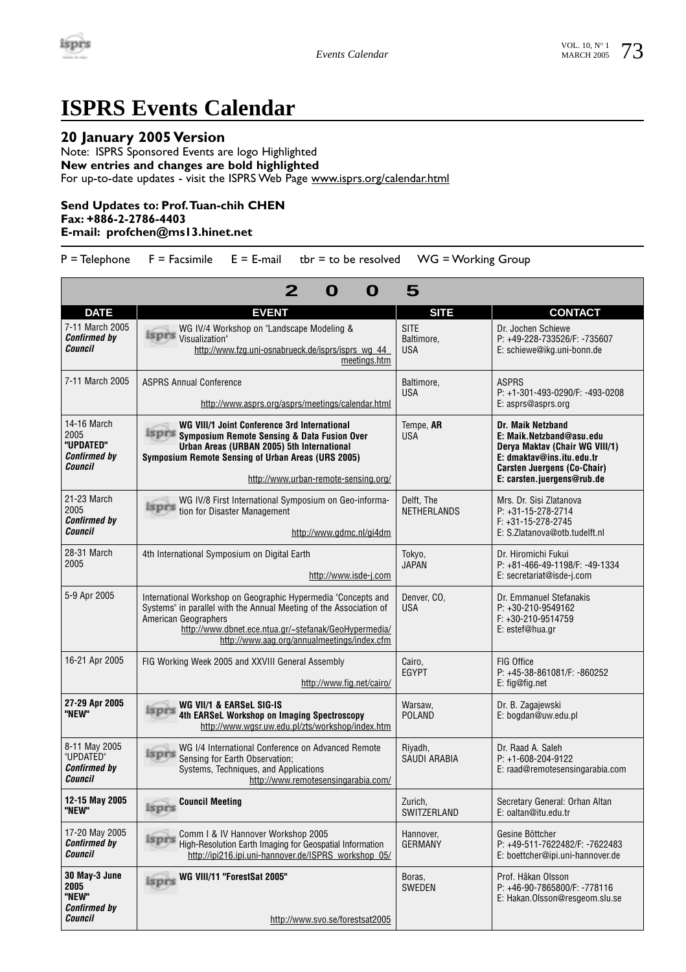

## **ISPRS Events Calendar**

## **20 January 2005 Version**

Note: ISPRS Sponsored Events are logo Highlighted **New entries and changes are bold highlighted**  For up-to-date updates - visit the ISPRS Web Page www.isprs.org/calendar.html

## **Send Updates to: Prof.Tuan-chih CHEN Fax: +886-2-2786-4403**

## **E-mail: profchen@ms13.hinet.net**

 $P =$  Telephone  $F =$  Facsimile  $E = E$ -mail tbr = to be resolved WG = Working Group

|                                                                    | O<br>O                                                                                                                                                                                                                                                              | 5                                       |                                                                                                                                                                                  |
|--------------------------------------------------------------------|---------------------------------------------------------------------------------------------------------------------------------------------------------------------------------------------------------------------------------------------------------------------|-----------------------------------------|----------------------------------------------------------------------------------------------------------------------------------------------------------------------------------|
| <b>DATE</b>                                                        | <b>EVENT</b>                                                                                                                                                                                                                                                        | <b>SITE</b>                             | <b>CONTACT</b>                                                                                                                                                                   |
| 7-11 March 2005<br><b>Confirmed by</b><br>Council                  | WG IV/4 Workshop on "Landscape Modeling &<br><b>LEPTS</b> Visualization"<br>http://www.fzg.uni-osnabrueck.de/isprs/isprs wg 44<br>meetings.htm                                                                                                                      | <b>SITE</b><br>Baltimore.<br><b>USA</b> | Dr. Jochen Schiewe<br>P: +49-228-733526/F: -735607<br>E: schiewe@ikg.uni-bonn.de                                                                                                 |
| 7-11 March 2005                                                    | <b>ASPRS Annual Conference</b><br>http://www.asprs.org/asprs/meetings/calendar.html                                                                                                                                                                                 | Baltimore.<br><b>USA</b>                | <b>ASPRS</b><br>P: +1-301-493-0290/F: -493-0208<br>E: asprs@asprs.org                                                                                                            |
| 14-16 March<br>2005<br>"UPDATED"<br><b>Confirmed by</b><br>Council | WG VIII/1 Joint Conference 3rd International<br><b>ISPES Symposium Remote Sensing &amp; Data Fusion Over</b><br>Urban Areas (URBAN 2005) 5th International<br>Symposium Remote Sensing of Urban Areas (URS 2005)<br>http://www.urban-remote-sensing.org/            | Tempe, AR<br><b>USA</b>                 | Dr. Maik Netzband<br>E: Maik.Netzband@asu.edu<br>Derya Maktav (Chair WG VIII/1)<br>E: dmaktav@ins.itu.edu.tr<br><b>Carsten Juergens (Co-Chair)</b><br>E: carsten.juergens@rub.de |
| 21-23 March<br>2005<br><b>Confirmed by</b><br>Council              | WG IV/8 First International Symposium on Geo-informa-<br>isprs<br>tion for Disaster Management<br>http://www.gdmc.nl/gi4dm                                                                                                                                          | Delft. The<br><b>NETHERLANDS</b>        | Mrs. Dr. Sisi Zlatanova<br>$P: +31 - 15 - 278 - 2714$<br>$F: +31 - 15 - 278 - 2745$<br>E: S. Zlatanova@otb.tudelft.nl                                                            |
| 28-31 March<br>2005                                                | 4th International Symposium on Digital Earth<br>http://www.isde-j.com                                                                                                                                                                                               | Tokyo,<br><b>JAPAN</b>                  | Dr. Hiromichi Fukui<br>P: +81-466-49-1198/F: -49-1334<br>E: secretariat@isde-j.com                                                                                               |
| 5-9 Apr 2005                                                       | International Workshop on Geographic Hypermedia "Concepts and<br>Systems" in parallel with the Annual Meeting of the Association of<br>American Geographers<br>http://www.dbnet.ece.ntua.gr/~stefanak/GeoHypermedia/<br>http://www.aag.org/annualmeetings/index.cfm | Denver, CO.<br><b>USA</b>               | Dr. Emmanuel Stefanakis<br>P: +30-210-9549162<br>F: +30-210-9514759<br>E: estef@hua.gr                                                                                           |
| 16-21 Apr 2005                                                     | FIG Working Week 2005 and XXVIII General Assembly<br>http://www.fig.net/cairo/                                                                                                                                                                                      | Cairo.<br>EGYPT                         | FIG Office<br>P: +45-38-861081/F: -860252<br>E: fig@fig.net                                                                                                                      |
| 27-29 Apr 2005<br>"NEW"                                            | WG VII/1 & EARSeL SIG-IS<br>4th EARSeL Workshop on Imaging Spectroscopy<br>http://www.wqsr.uw.edu.pl/zts/workshop/index.htm                                                                                                                                         | Warsaw.<br><b>POLAND</b>                | Dr. B. Zagajewski<br>E: bogdan@uw.edu.pl                                                                                                                                         |
| 8-11 May 2005<br>"UPDATED"<br><b>Confirmed by</b><br>Council       | WG I/4 International Conference on Advanced Remote<br>isprs<br>Sensing for Earth Observation:<br>Systems, Techniques, and Applications<br>http://www.remotesensingarabia.com/                                                                                       | Riyadh,<br>SAUDI ARABIA                 | Dr. Raad A. Saleh<br>P: +1-608-204-9122<br>E: raad@remotesensingarabia.com                                                                                                       |
| 12-15 May 2005<br>"NEW"                                            | <b>Council Meeting</b><br>isprs                                                                                                                                                                                                                                     | Zurich,<br>SWITZERLAND                  | Secretary General: Orhan Altan<br>E: oaltan@itu.edu.tr                                                                                                                           |
| 17-20 May 2005<br><b>Confirmed by</b><br>Council                   | Comm I & IV Hannover Workshop 2005<br>isprs<br>High-Resolution Earth Imaging for Geospatial Information<br>http://ipi216.ipi.uni-hannover.de/ISPRS workshop 05/                                                                                                     | Hannover,<br><b>GERMANY</b>             | Gesine Böttcher<br>P: +49-511-7622482/F: -7622483<br>E: boettcher@ipi.uni-hannover.de                                                                                            |
| 30 May-3 June<br>2005<br>"NEW"<br><b>Confirmed by</b><br>Council   | <b>isprs WG VIII/11 "ForestSat 2005"</b><br>http://www.svo.se/forestsat2005                                                                                                                                                                                         | Boras.<br><b>SWEDEN</b>                 | Prof. Håkan Olsson<br>P: +46-90-7865800/F: -778116<br>E: Hakan.Olsson@resgeom.slu.se                                                                                             |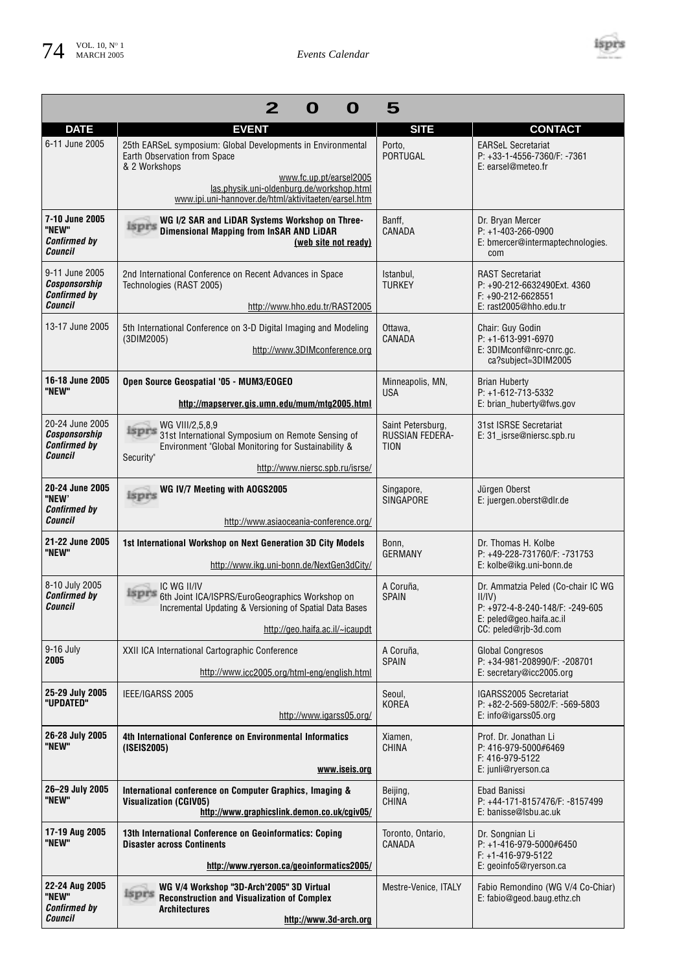

| $\mathbf{2}$<br>O<br>5<br>O                                        |                                                                                                                                                                                                                                              |                                              |                                                                                                                                    |
|--------------------------------------------------------------------|----------------------------------------------------------------------------------------------------------------------------------------------------------------------------------------------------------------------------------------------|----------------------------------------------|------------------------------------------------------------------------------------------------------------------------------------|
| <b>DATE</b>                                                        | <b>EVENT</b>                                                                                                                                                                                                                                 | <b>SITE</b>                                  | <b>CONTACT</b>                                                                                                                     |
| 6-11 June 2005                                                     | 25th EARSeL symposium: Global Developments in Environmental<br>Earth Observation from Space<br>& 2 Workshops<br>www.fc.up.pt/earsel2005<br>las.physik.uni-oldenburg.de/workshop.html<br>www.ipi.uni-hannover.de/html/aktivitaeten/earsel.htm | Porto,<br>PORTUGAL                           | <b>EARSeL Secretariat</b><br>P: +33-1-4556-7360/F: -7361<br>E: earsel@meteo.fr                                                     |
| 7-10 June 2005<br>"NEW"<br><b>Confirmed by</b><br>Council          | WG I/2 SAR and LiDAR Systems Workshop on Three-<br>isprs<br><b>Dimensional Mapping from InSAR AND LIDAR</b><br>(web site not ready)                                                                                                          | Banff.<br>CANADA                             | Dr. Bryan Mercer<br>$P: +1-403-266-0900$<br>E: bmercer@intermaptechnologies.<br>com                                                |
| 9-11 June 2005<br>Cosponsorship<br><b>Confirmed by</b><br>Council  | 2nd International Conference on Recent Advances in Space<br>Technologies (RAST 2005)<br>http://www.hho.edu.tr/RAST2005                                                                                                                       | Istanbul,<br><b>TURKEY</b>                   | <b>RAST Secretariat</b><br>P: +90-212-6632490Ext. 4360<br>F: +90-212-6628551<br>E: rast2005@hho.edu.tr                             |
| 13-17 June 2005                                                    | 5th International Conference on 3-D Digital Imaging and Modeling<br>(3DIM2005)<br>http://www.3DIMconference.org                                                                                                                              | Ottawa,<br>CANADA                            | Chair: Guy Godin<br>P: +1-613-991-6970<br>E: 3DIMconf@nrc-cnrc.gc.<br>ca?subject=3DIM2005                                          |
| 16-18 June 2005<br>"NEW"                                           | Open Source Geospatial '05 - MUM3/EOGEO<br>http://mapserver.gis.umn.edu/mum/mtg2005.html                                                                                                                                                     | Minneapolis, MN,<br><b>USA</b>               | <b>Brian Huberty</b><br>P: +1-612-713-5332<br>E: brian_huberty@fws.gov                                                             |
| 20-24 June 2005<br>Cosponsorship<br><b>Confirmed by</b><br>Council | WG VIII/2,5,8,9<br>isprs<br>31st International Symposium on Remote Sensing of<br>Environment "Global Monitoring for Sustainability &<br>Security"<br>http://www.niersc.spb.ru/isrse/                                                         | Saint Petersburg,<br>RUSSIAN FEDERA-<br>TION | 31st ISRSE Secretariat<br>E: 31 isrse@niersc.spb.ru                                                                                |
|                                                                    |                                                                                                                                                                                                                                              |                                              |                                                                                                                                    |
| 20-24 June 2005<br>"NEW'<br><b>Confirmed by</b><br>Council         | WG IV/7 Meeting with AOGS2005<br>isprs                                                                                                                                                                                                       | Singapore,<br><b>SINGAPORE</b>               | Jürgen Oberst<br>E: juergen.oberst@dlr.de                                                                                          |
|                                                                    | http://www.asiaoceania-conference.org/                                                                                                                                                                                                       |                                              |                                                                                                                                    |
| 21-22 June 2005<br>"NEW"                                           | 1st International Workshop on Next Generation 3D City Models<br>http://www.ikg.uni-bonn.de/NextGen3dCity/                                                                                                                                    | Bonn,<br><b>GERMANY</b>                      | Dr. Thomas H. Kolbe<br>P: +49-228-731760/F: -731753<br>E: kolbe@ikg.uni-bonn.de                                                    |
| 8-10 July 2005<br><b>Confirmed by</b><br>Council                   | IC WG II/IV<br><b>ISPFS 6th Joint ICA/ISPRS/EuroGeographics Workshop on</b><br>Incremental Updating & Versioning of Spatial Data Bases<br>http://geo.haifa.ac.il/~icaupdt                                                                    | A Coruña,<br><b>SPAIN</b>                    | Dr. Ammatzia Peled (Co-chair IC WG<br>II/IV<br>P: +972-4-8-240-148/F: -249-605<br>E: peled@geo.haifa.ac.il<br>CC: peled@rjb-3d.com |
| $9-16$ July<br>2005                                                | XXII ICA International Cartographic Conference<br>http://www.icc2005.org/html-eng/english.html                                                                                                                                               | A Coruña,<br><b>SPAIN</b>                    | <b>Global Congresos</b><br>P: +34-981-208990/F: -208701<br>E: secretary@icc2005.org                                                |
| 25-29 July 2005<br>"UPDATED"                                       | IEEE/IGARSS 2005<br>http://www.igarss05.org/                                                                                                                                                                                                 | Seoul,<br>KOREA                              | IGARSS2005 Secretariat<br>P: +82-2-569-5802/F: -569-5803<br>E: info@igarss05.org                                                   |
| 26-28 July 2005<br>"NEW"                                           | 4th International Conference on Environmental Informatics<br>(ISEIS2005)<br>www.iseis.org                                                                                                                                                    | Xiamen,<br>CHINA                             | Prof. Dr. Jonathan Li<br>P: 416-979-5000#6469<br>F: 416-979-5122<br>E: junli@ryerson.ca                                            |
| 26-29 July 2005<br>"NEW"                                           | International conference on Computer Graphics, Imaging &<br><b>Visualization (CGIV05)</b><br>http://www.graphicslink.demon.co.uk/cgiv05/                                                                                                     | Beijing,<br>CHINA                            | Ebad Banissi<br>P: +44-171-8157476/F: -8157499<br>E: banisse@Isbu.ac.uk                                                            |
| 17-19 Aug 2005<br>"NEW"                                            | 13th International Conference on Geoinformatics: Coping<br><b>Disaster across Continents</b><br>http://www.ryerson.ca/geoinformatics2005/                                                                                                    | Toronto, Ontario,<br>CANADA                  | Dr. Songnian Li<br>P: +1-416-979-5000#6450<br>$F: +1 - 416 - 979 - 5122$<br>E: geoinfo5@ryerson.ca                                 |
| 22-24 Aug 2005<br>"NEW"<br><b>Confirmed by</b>                     | WG V/4 Workshop "3D-Arch'2005" 3D Virtual<br>isprs<br><b>Reconstruction and Visualization of Complex</b><br><b>Architectures</b>                                                                                                             | Mestre-Venice, ITALY                         | Fabio Remondino (WG V/4 Co-Chiar)<br>E: fabio@geod.baug.ethz.ch                                                                    |
| Council                                                            | http://www.3d-arch.org                                                                                                                                                                                                                       |                                              |                                                                                                                                    |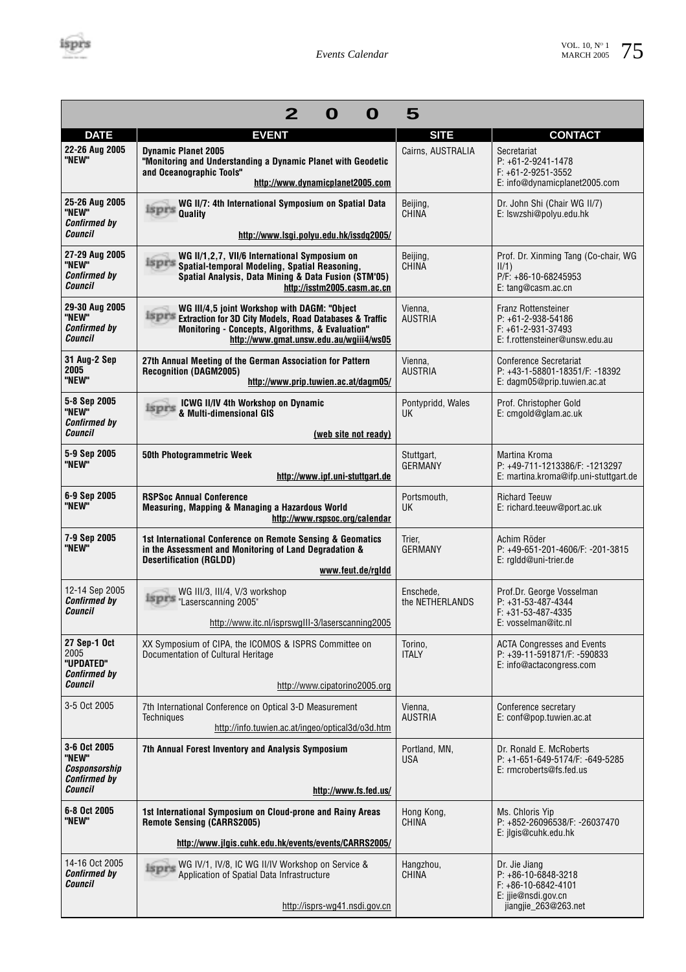|                                                                          | $\mathbf{2}$<br>O<br>O                                                                                                                                                                                                  | 5                              |                                                                                                                   |
|--------------------------------------------------------------------------|-------------------------------------------------------------------------------------------------------------------------------------------------------------------------------------------------------------------------|--------------------------------|-------------------------------------------------------------------------------------------------------------------|
| <b>DATE</b>                                                              | <b>EVENT</b>                                                                                                                                                                                                            | <b>SITE</b>                    | <b>CONTACT</b>                                                                                                    |
| 22-26 Aug 2005<br>"NEW"                                                  | <b>Dynamic Planet 2005</b><br>"Monitoring and Understanding a Dynamic Planet with Geodetic<br>and Oceanographic Tools"<br>http://www.dynamicplanet2005.com                                                              | Cairns, AUSTRALIA              | Secretariat<br>$P: +61 - 2 - 9241 - 1478$<br>$F: +61 - 2 - 9251 - 3552$<br>E: info@dynamicplanet2005.com          |
| 25-26 Aug 2005<br>"NEW"<br><b>Confirmed by</b><br>Council                | WG II/7: 4th International Symposium on Spatial Data<br>isprs<br><b>Quality</b><br>http://www.lsgi.polyu.edu.hk/issdq2005/                                                                                              | Beijing,<br><b>CHINA</b>       | Dr. John Shi (Chair WG II/7)<br>E: Iswzshi@polyu.edu.hk                                                           |
| 27-29 Aug 2005<br>"NEW"<br><b>Confirmed by</b><br>Council                | WG II/1,2,7, VII/6 International Symposium on<br><b>ISPES</b> Spatial-temporal Modeling, Spatial Reasoning,<br>Spatial Analysis, Data Mining & Data Fusion (STM'05)<br>http://isstm2005.casm.ac.cn                      | Beijing,<br><b>CHINA</b>       | Prof. Dr. Xinming Tang (Co-chair, WG<br>II/1)<br>P/F: +86-10-68245953<br>E: tang@casm.ac.cn                       |
| 29-30 Aug 2005<br>"NEW"<br><b>Confirmed by</b><br>Council                | WG III/4,5 joint Workshop with DAGM: "Object<br><b>ISPFS Extraction for 3D City Models, Road Databases &amp; Traffic</b><br>Monitoring - Concepts, Algorithms, & Evaluation"<br>http://www.gmat.unsw.edu.au/wgiii4/ws05 | Vienna,<br><b>AUSTRIA</b>      | Franz Rottensteiner<br>$P: +61 - 2 - 938 - 54186$<br>$F: +61 - 2 - 931 - 37493$<br>E: f.rottensteiner@unsw.edu.au |
| 31 Aug-2 Sep<br>2005<br>"NEW"                                            | 27th Annual Meeting of the German Association for Pattern<br><b>Recognition (DAGM2005)</b><br>http://www.prip.tuwien.ac.at/dagm05/                                                                                      | Vienna,<br><b>AUSTRIA</b>      | Conference Secretariat<br>P: +43-1-58801-18351/F: -18392<br>E: dagm05@prip.tuwien.ac.at                           |
| 5-8 Sep 2005<br>"NEW"<br><b>Confirmed by</b>                             | <b>ICWG II/IV 4th Workshop on Dynamic</b><br>isprs<br>& Multi-dimensional GIS                                                                                                                                           | Pontypridd, Wales<br><b>UK</b> | Prof. Christopher Gold<br>E: cmgold@glam.ac.uk                                                                    |
| Council                                                                  | (web site not ready)                                                                                                                                                                                                    |                                |                                                                                                                   |
| 5-9 Sep 2005<br>"NEW"                                                    | <b>50th Photogrammetric Week</b><br>http://www.ipf.uni-stuttgart.de                                                                                                                                                     | Stuttgart,<br><b>GERMANY</b>   | Martina Kroma<br>P: +49-711-1213386/F: -1213297<br>E: martina.kroma@ifp.uni-stuttgart.de                          |
| 6-9 Sep 2005<br>"NEW"                                                    | <b>RSPSoc Annual Conference</b><br>Measuring, Mapping & Managing a Hazardous World<br>http://www.rspsoc.org/calendar                                                                                                    | Portsmouth,<br><b>UK</b>       | <b>Richard Teeuw</b><br>E: richard.teeuw@port.ac.uk                                                               |
| 7-9 Sep 2005<br>"NEW"                                                    | 1st International Conference on Remote Sensing & Geomatics<br>in the Assessment and Monitoring of Land Degradation &<br><b>Desertification (RGLDD)</b><br>www.feut.de/rgldd                                             | Trier.<br><b>GERMANY</b>       | Achim Röder<br>P: +49-651-201-4606/F: -201-3815<br>E: rgldd@uni-trier.de                                          |
| 12-14 Sep 2005<br><b>Confirmed by</b><br>Council                         | WG III/3, III/4, V/3 workshop<br>Laserscanning 2005"<br>http://www.itc.nl/isprswglll-3/laserscanning2005                                                                                                                | Enschede,<br>the NETHERLANDS   | Prof.Dr. George Vosselman<br>$P: +31-53-487-4344$<br>$F: +31-53-487-4335$<br>E: vosselman@itc.nl                  |
| 27 Sep-1 Oct<br>2005<br>"UPDATED"<br><b>Confirmed by</b><br>Council      | XX Symposium of CIPA, the ICOMOS & ISPRS Committee on<br>Documentation of Cultural Heritage<br>http://www.cipatorino2005.org                                                                                            | Torino,<br><b>ITALY</b>        | <b>ACTA Congresses and Events</b><br>P: +39-11-591871/F: -590833<br>E: info@actacongress.com                      |
| 3-5 Oct 2005                                                             | 7th International Conference on Optical 3-D Measurement<br>Techniques<br>http://info.tuwien.ac.at/ingeo/optical3d/o3d.htm                                                                                               | Vienna,<br><b>AUSTRIA</b>      | Conference secretary<br>E: conf@pop.tuwien.ac.at                                                                  |
| 3-6 Oct 2005<br>"NEW"<br>Cosponsorship<br><b>Confirmed by</b><br>Council | 7th Annual Forest Inventory and Analysis Symposium<br>http://www.fs.fed.us/                                                                                                                                             | Portland, MN,<br><b>USA</b>    | Dr. Ronald E. McRoberts<br>P: +1-651-649-5174/F: -649-5285<br>E: rmcroberts@fs.fed.us                             |
| 6-8 Oct 2005<br>"NEW"                                                    | 1st International Symposium on Cloud-prone and Rainy Areas<br><b>Remote Sensing (CARRS2005)</b><br>http://www.jlgis.cuhk.edu.hk/events/events/CARRS2005/                                                                | Hong Kong,<br>CHINA            | Ms. Chloris Yip<br>P: +852-26096538/F: -26037470<br>E: jlgis@cuhk.edu.hk                                          |
|                                                                          |                                                                                                                                                                                                                         |                                |                                                                                                                   |
| 14-16 Oct 2005<br><b>Confirmed by</b><br>Council                         | Isprs WG IV/1, IV/8, IC WG II/IV Workshop on Service &<br>Application of Spatial Data Infrastructure<br>http://isprs-wg41.nsdi.gov.cn                                                                                   | Hangzhou,<br>CHINA             | Dr. Jie Jiang<br>P: +86-10-6848-3218<br>$F: +86-10-6842-4101$<br>E: ijie@nsdi.gov.cn<br>jiangjie_263@263.net      |